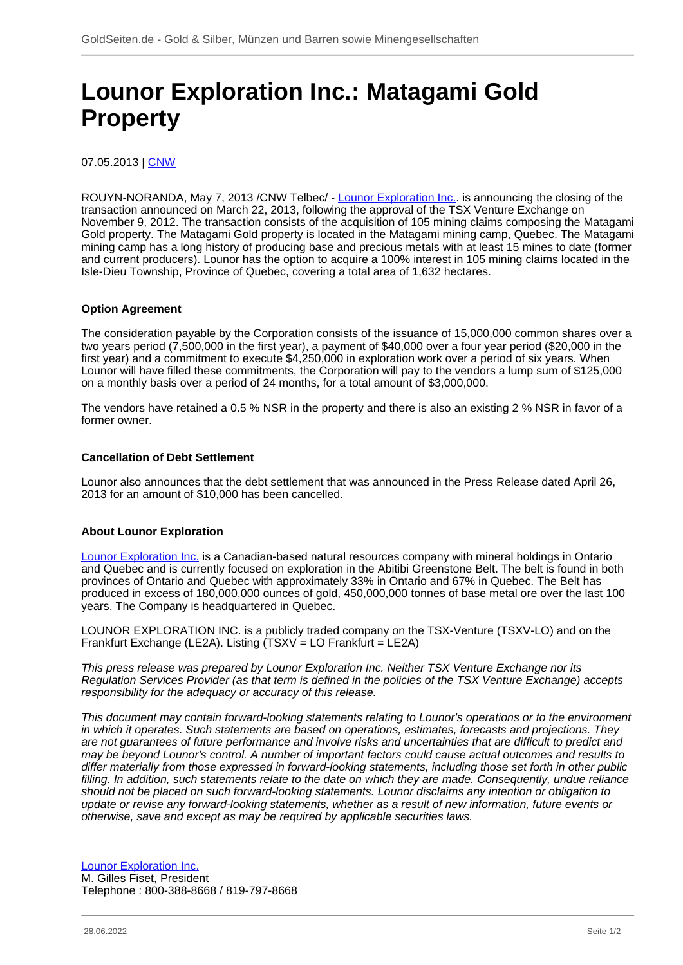## **Lounor Exploration Inc.: Matagami Gold Property**

07.05.2013 | [CNW](/profil/224--CNW)

ROUYN-NORANDA, May 7, 2013 /CNW Telbec/ - [Lounor Exploration Inc..](/minen/1157--Lounor-Exploration-Inc) is announcing the closing of the transaction announced on March 22, 2013, following the approval of the TSX Venture Exchange on November 9, 2012. The transaction consists of the acquisition of 105 mining claims composing the Matagami Gold property. The Matagami Gold property is located in the Matagami mining camp, Quebec. The Matagami mining camp has a long history of producing base and precious metals with at least 15 mines to date (former and current producers). Lounor has the option to acquire a 100% interest in 105 mining claims located in the Isle-Dieu Township, Province of Quebec, covering a total area of 1,632 hectares.

## **Option Agreement**

The consideration payable by the Corporation consists of the issuance of 15,000,000 common shares over a two years period (7,500,000 in the first year), a payment of \$40,000 over a four year period (\$20,000 in the first year) and a commitment to execute \$4,250,000 in exploration work over a period of six years. When Lounor will have filled these commitments, the Corporation will pay to the vendors a lump sum of \$125,000 on a monthly basis over a period of 24 months, for a total amount of \$3,000,000.

The vendors have retained a 0.5 % NSR in the property and there is also an existing 2 % NSR in favor of a former owner.

## **Cancellation of Debt Settlement**

Lounor also announces that the debt settlement that was announced in the Press Release dated April 26, 2013 for an amount of \$10,000 has been cancelled.

## **About Lounor Exploration**

[Lounor Exploration Inc.](/minen/1157--Lounor-Exploration-Inc) is a Canadian-based natural resources company with mineral holdings in Ontario and Quebec and is currently focused on exploration in the Abitibi Greenstone Belt. The belt is found in both provinces of Ontario and Quebec with approximately 33% in Ontario and 67% in Quebec. The Belt has produced in excess of 180,000,000 ounces of gold, 450,000,000 tonnes of base metal ore over the last 100 years. The Company is headquartered in Quebec.

LOUNOR EXPLORATION INC. is a publicly traded company on the TSX-Venture (TSXV-LO) and on the Frankfurt Exchange (LE2A). Listing (TSXV = LO Frankfurt = LE2A)

This press release was prepared by Lounor Exploration Inc. Neither TSX Venture Exchange nor its Regulation Services Provider (as that term is defined in the policies of the TSX Venture Exchange) accepts responsibility for the adequacy or accuracy of this release.

This document may contain forward-looking statements relating to Lounor's operations or to the environment in which it operates. Such statements are based on operations, estimates, forecasts and projections. They are not guarantees of future performance and involve risks and uncertainties that are difficult to predict and may be beyond Lounor's control. A number of important factors could cause actual outcomes and results to differ materially from those expressed in forward-looking statements, including those set forth in other public filling. In addition, such statements relate to the date on which they are made. Consequently, undue reliance should not be placed on such forward-looking statements. Lounor disclaims any intention or obligation to update or revise any forward-looking statements, whether as a result of new information, future events or otherwise, save and except as may be required by applicable securities laws.

[Lounor Exploration Inc.](/minen/1157--Lounor-Exploration-Inc) M. Gilles Fiset, President Telephone : 800-388-8668 / 819-797-8668